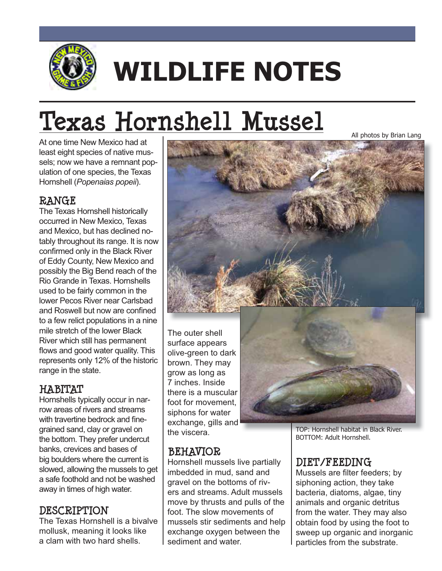

# **WILDLIFE NOTES**

# **Texas Hornshell Mussel**

At one time New Mexico had at least eight species of native mussels; now we have a remnant population of one species, the Texas Hornshell (*Popenaias popeii*).

#### **RANGE**

The Texas Hornshell historically occurred in New Mexico, Texas and Mexico, but has declined notably throughout its range. It is now confirmed only in the Black River of Eddy County, New Mexico and possibly the Big Bend reach of the Rio Grande in Texas. Hornshells used to be fairly common in the **Iower Pecos River near Carlsbad** and Roswell but now are confined to a few relict populations in a nine mile stretch of the lower Black River which still has permanent flows and good water quality. This represents only 12% of the historic range in the state.

## **HABITAT**

Hornshells typically occur in narrow areas of rivers and streams with travertine bedrock and finegrained sand, clay or gravel on the bottom. They prefer undercut banks, crevices and bases of big boulders where the current is slowed, allowing the mussels to get a safe foothold and not be washed away in times of high water.

#### **DESCRIPTION**

The Texas Hornshell is a bivalve mollusk, meaning it looks like a clam with two hard shells.



surface appears olive-green to dark brown. They may grow as long as 7 inches. Inside there is a muscular foot for movement, siphons for water exchange, gills and the viscera.

## **BEHAVIOR**

Hornshell mussels live partially imbedded in mud, sand and gravel on the bottoms of rivers and streams. Adult mussels move by thrusts and pulls of the foot. The slow movements of mussels stir sediments and help exchange oxygen between the sediment and water.

TOP: Hornshell habitat in Black River. BOTTOM: Adult Hornshell.

All photos by Brian Lang

# **DIET/FEEDING**

Mussels are filter feeders; by siphoning action, they take bacteria, diatoms, algae, tiny animals and organic detritus from the water. They may also obtain food by using the foot to sweep up organic and inorganic particles from the substrate.